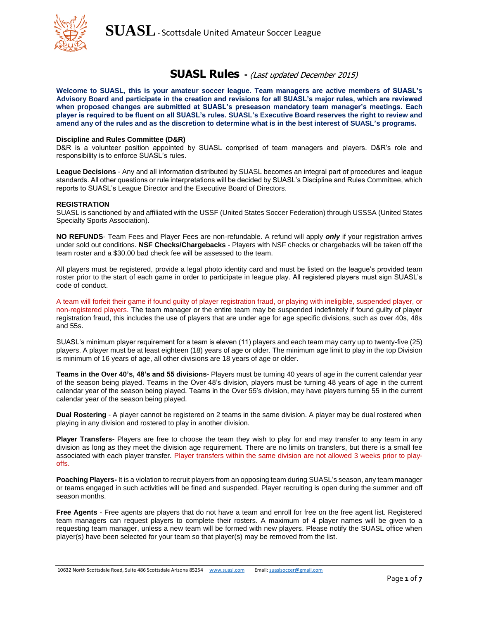

# **SUASL Rules -** (Last updated December 2015)

**Welcome to SUASL, this is your amateur soccer league. Team managers are active members of SUASL's Advisory Board and participate in the creation and revisions for all SUASL's major rules, which are reviewed when proposed changes are submitted at SUASL's preseason mandatory team manager's meetings. Each player is required to be fluent on all SUASL's rules. SUASL's Executive Board reserves the right to review and amend any of the rules and as the discretion to determine what is in the best interest of SUASL's programs.**

#### **Discipline and Rules Committee (D&R)**

D&R is a volunteer position appointed by SUASL comprised of team managers and players. D&R's role and responsibility is to enforce SUASL's rules.

**League Decisions** - Any and all information distributed by SUASL becomes an integral part of procedures and league standards. All other questions or rule interpretations will be decided by SUASL's Discipline and Rules Committee, which reports to SUASL's League Director and the Executive Board of Directors.

### **REGISTRATION**

SUASL is sanctioned by and affiliated with the USSF (United States Soccer Federation) through USSSA (United States Specialty Sports Association).

**NO REFUNDS**- Team Fees and Player Fees are non-refundable. A refund will apply *only* if your registration arrives under sold out conditions. **NSF Checks/Chargebacks** - Players with NSF checks or chargebacks will be taken off the team roster and a \$30.00 bad check fee will be assessed to the team.

All players must be registered, provide a legal photo identity card and must be listed on the league's provided team roster prior to the start of each game in order to participate in league play. All registered players must sign SUASL's code of conduct.

A team will forfeit their game if found guilty of player registration fraud, or playing with ineligible, suspended player, or non-registered players. The team manager or the entire team may be suspended indefinitely if found guilty of player registration fraud, this includes the use of players that are under age for age specific divisions, such as over 40s, 48s and 55s.

SUASL's minimum player requirement for a team is eleven (11) players and each team may carry up to twenty-five (25) players. A player must be at least eighteen (18) years of age or older. The minimum age limit to play in the top Division is minimum of 16 years of age, all other divisions are 18 years of age or older.

**Teams in the Over 40's, 48's and 55 divisions**- Players must be turning 40 years of age in the current calendar year of the season being played. Teams in the Over 48's division, players must be turning 48 years of age in the current calendar year of the season being played. Teams in the Over 55's division, may have players turning 55 in the current calendar year of the season being played.

**Dual Rostering** - A player cannot be registered on 2 teams in the same division. A player may be dual rostered when playing in any division and rostered to play in another division.

**Player Transfers-** Players are free to choose the team they wish to play for and may transfer to any team in any division as long as they meet the division age requirement. There are no limits on transfers, but there is a small fee associated with each player transfer. Player transfers within the same division are not allowed 3 weeks prior to playoffs.

**Poaching Players-** It is a violation to recruit players from an opposing team during SUASL's season, any team manager or teams engaged in such activities will be fined and suspended. Player recruiting is open during the summer and off season months.

**Free Agents** - Free agents are players that do not have a team and enroll for free on the free agent list. Registered team managers can request players to complete their rosters. A maximum of 4 player names will be given to a requesting team manager, unless a new team will be formed with new players. Please notify the SUASL office when player(s) have been selected for your team so that player(s) may be removed from the list.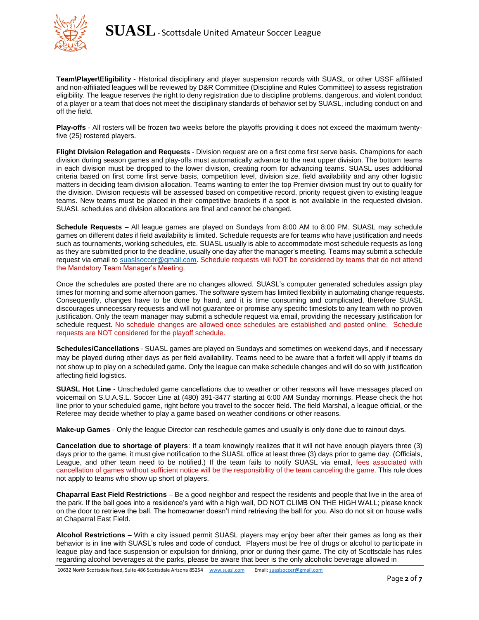

**Team\Player\Eligibility** - Historical disciplinary and player suspension records with SUASL or other USSF affiliated and non-affiliated leagues will be reviewed by D&R Committee (Discipline and Rules Committee) to assess registration eligibility. The league reserves the right to deny registration due to discipline problems, dangerous, and violent conduct of a player or a team that does not meet the disciplinary standards of behavior set by SUASL, including conduct on and off the field.

**Play-offs** - All rosters will be frozen two weeks before the playoffs providing it does not exceed the maximum twentyfive (25) rostered players.

**Flight Division Relegation and Requests** - Division request are on a first come first serve basis. Champions for each division during season games and play-offs must automatically advance to the next upper division. The bottom teams in each division must be dropped to the lower division, creating room for advancing teams. SUASL uses additional criteria based on first come first serve basis, competition level, division size, field availability and any other logistic matters in deciding team division allocation. Teams wanting to enter the top Premier division must try out to qualify for the division. Division requests will be assessed based on competitive record, priority request given to existing league teams. New teams must be placed in their competitive brackets if a spot is not available in the requested division. SUASL schedules and division allocations are final and cannot be changed.

**Schedule Requests** – All league games are played on Sundays from 8:00 AM to 8:00 PM. SUASL may schedule games on different dates if field availability is limited. Schedule requests are for teams who have justification and needs such as tournaments, working schedules, etc. SUASL usually is able to accommodate most schedule requests as long as they are submitted prior to the deadline, usually one day after the manager's meeting. Teams may submit a schedule request via email to [suaslsoccer@gmail.com.](mailto:suaslsoccer@gmail.com) Schedule requests will NOT be considered by teams that do not attend the Mandatory Team Manager's Meeting.

Once the schedules are posted there are no changes allowed. SUASL's computer generated schedules assign play times for morning and some afternoon games. The software system has limited flexibility in automating change requests. Consequently, changes have to be done by hand, and it is time consuming and complicated, therefore SUASL discourages unnecessary requests and will not guarantee or promise any specific timeslots to any team with no proven justification. Only the team manager may submit a schedule request via email, providing the necessary justification for schedule request. No schedule changes are allowed once schedules are established and posted online. Schedule requests are NOT considered for the playoff schedule.

**Schedules/Cancellations** - SUASL games are played on Sundays and sometimes on weekend days, and if necessary may be played during other days as per field availability. Teams need to be aware that a forfeit will apply if teams do not show up to play on a scheduled game. Only the league can make schedule changes and will do so with justification affecting field logistics.

**SUASL Hot Line** - Unscheduled game cancellations due to weather or other reasons will have messages placed on voicemail on S.U.A.S.L. Soccer Line at (480) 391-3477 starting at 6:00 AM Sunday mornings. Please check the hot line prior to your scheduled game, right before you travel to the soccer field. The field Marshal, a league official, or the Referee may decide whether to play a game based on weather conditions or other reasons.

**Make-up Games** - Only the league Director can reschedule games and usually is only done due to rainout days.

**Cancelation due to shortage of players**: If a team knowingly realizes that it will not have enough players three (3) days prior to the game, it must give notification to the SUASL office at least three (3) days prior to game day. (Officials, League, and other team need to be notified.) If the team fails to notify SUASL via email, fees associated with cancellation of games without sufficient notice will be the responsibility of the team canceling the game. This rule does not apply to teams who show up short of players.

**Chaparral East Field Restrictions** – Be a good neighbor and respect the residents and people that live in the area of the park. If the ball goes into a residence's yard with a high wall, DO NOT CLIMB ON THE HIGH WALL; please knock on the door to retrieve the ball. The homeowner doesn't mind retrieving the ball for you. Also do not sit on house walls at Chaparral East Field.

**Alcohol Restrictions** – With a city issued permit SUASL players may enjoy beer after their games as long as their behavior is in line with SUASL's rules and code of conduct. Players must be free of drugs or alcohol to participate in league play and face suspension or expulsion for drinking, prior or during their game. The city of Scottsdale has rules regarding alcohol beverages at the parks, please be aware that beer is the only alcoholic beverage allowed in

10632 North Scottsdale Road, Suite 486 Scottsdale Arizona 85254 [www.suasl.com](http://www.suasl.com/) Email[: suaslsoccer@gmail.com](mailto:suaslsoccer@gmail.com)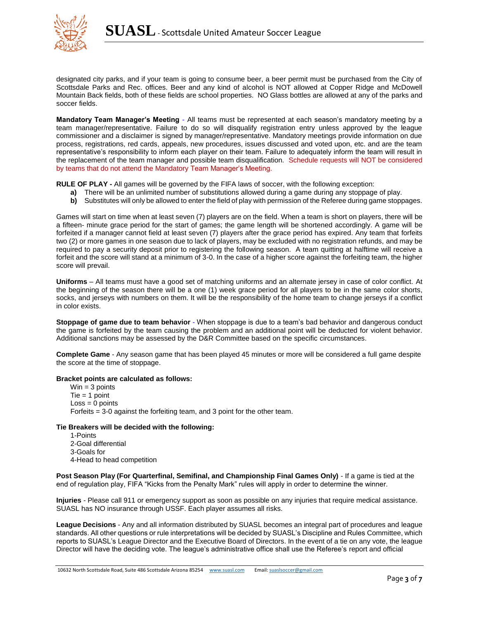

designated city parks, and if your team is going to consume beer, a beer permit must be purchased from the City of Scottsdale Parks and Rec. offices. Beer and any kind of alcohol is NOT allowed at Copper Ridge and McDowell Mountain Back fields, both of these fields are school properties. NO Glass bottles are allowed at any of the parks and soccer fields.

**Mandatory Team Manager's Meeting** - All teams must be represented at each season's mandatory meeting by a team manager/representative. Failure to do so will disqualify registration entry unless approved by the league commissioner and a disclaimer is signed by manager/representative. Mandatory meetings provide information on due process, registrations, red cards, appeals, new procedures, issues discussed and voted upon, etc. and are the team representative's responsibility to inform each player on their team. Failure to adequately inform the team will result in the replacement of the team manager and possible team disqualification. Schedule requests will NOT be considered by teams that do not attend the Mandatory Team Manager's Meeting.

**RULE OF PLAY -** All games will be governed by the FIFA laws of soccer, with the following exception:

- **a)** There will be an unlimited number of substitutions allowed during a game during any stoppage of play.
- **b)** Substitutes will only be allowed to enter the field of play with permission of the Referee during game stoppages.

Games will start on time when at least seven (7) players are on the field. When a team is short on players, there will be a fifteen- minute grace period for the start of games; the game length will be shortened accordingly. A game will be forfeited if a manager cannot field at least seven (7) players after the grace period has expired. Any team that forfeits two (2) or more games in one season due to lack of players, may be excluded with no registration refunds, and may be required to pay a security deposit prior to registering the following season. A team quitting at halftime will receive a forfeit and the score will stand at a minimum of 3-0. In the case of a higher score against the forfeiting team, the higher score will prevail.

**Uniforms** – All teams must have a good set of matching uniforms and an alternate jersey in case of color conflict. At the beginning of the season there will be a one (1) week grace period for all players to be in the same color shorts, socks, and jerseys with numbers on them. It will be the responsibility of the home team to change jerseys if a conflict in color exists.

**Stoppage of game due to team behavior** - When stoppage is due to a team's bad behavior and dangerous conduct the game is forfeited by the team causing the problem and an additional point will be deducted for violent behavior. Additional sanctions may be assessed by the D&R Committee based on the specific circumstances.

**Complete Game** - Any season game that has been played 45 minutes or more will be considered a full game despite the score at the time of stoppage.

## **Bracket points are calculated as follows:**

 $Win = 3 points$  $Tie = 1$  point  $Loss = 0$  points Forfeits = 3-0 against the forfeiting team, and 3 point for the other team.

# **Tie Breakers will be decided with the following:**

1-Points 2-Goal differential 3-Goals for 4-Head to head competition

**Post Season Play (For Quarterfinal, Semifinal, and Championship Final Games Only)** - If a game is tied at the end of regulation play, FIFA "Kicks from the Penalty Mark" rules will apply in order to determine the winner.

**Injuries** - Please call 911 or emergency support as soon as possible on any injuries that require medical assistance. SUASL has NO insurance through USSF. Each player assumes all risks.

**League Decisions** - Any and all information distributed by SUASL becomes an integral part of procedures and league standards. All other questions or rule interpretations will be decided by SUASL's Discipline and Rules Committee, which reports to SUASL's League Director and the Executive Board of Directors. In the event of a tie on any vote, the league Director will have the deciding vote. The league's administrative office shall use the Referee's report and official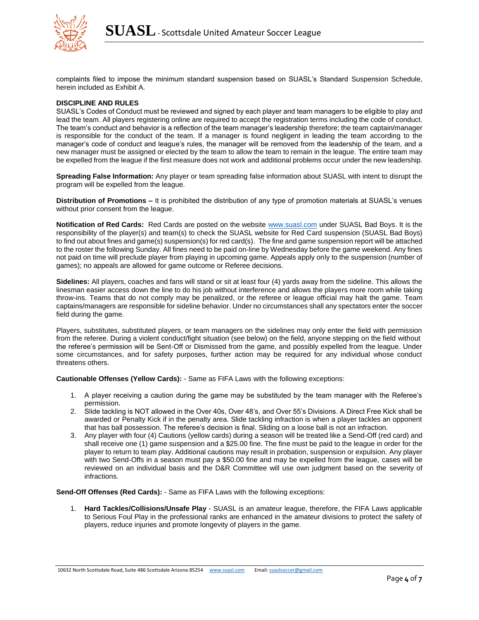

complaints filed to impose the minimum standard suspension based on SUASL's Standard Suspension Schedule, herein included as Exhibit A.

# **DISCIPLINE AND RULES**

SUASL's Codes of Conduct must be reviewed and signed by each player and team managers to be eligible to play and lead the team. All players registering online are required to accept the registration terms including the code of conduct. The team's conduct and behavior is a reflection of the team manager's leadership therefore; the team captain/manager is responsible for the conduct of the team. If a manager is found negligent in leading the team according to the manager's code of conduct and league's rules, the manager will be removed from the leadership of the team, and a new manager must be assigned or elected by the team to allow the team to remain in the league. The entire team may be expelled from the league if the first measure does not work and additional problems occur under the new leadership.

**Spreading False Information:** Any player or team spreading false information about SUASL with intent to disrupt the program will be expelled from the league.

**Distribution of Promotions –** It is prohibited the distribution of any type of promotion materials at SUASL's venues without prior consent from the league.

**Notification of Red Cards:** Red Cards are posted on the website [www.suasl.com](http://www.suasl.com/) under SUASL Bad Boys. It is the responsibility of the player(s) and team(s) to check the SUASL website for Red Card suspension (SUASL Bad Boys) to find out about fines and game(s) suspension(s) for red card(s). The fine and game suspension report will be attached to the roster the following Sunday. All fines need to be paid on-line by Wednesday before the game weekend. Any fines not paid on time will preclude player from playing in upcoming game. Appeals apply only to the suspension (number of games); no appeals are allowed for game outcome or Referee decisions.

**Sidelines:** All players, coaches and fans will stand or sit at least four (4) yards away from the sideline. This allows the linesman easier access down the line to do his job without interference and allows the players more room while taking throw-ins. Teams that do not comply may be penalized, or the referee or league official may halt the game. Team captains/managers are responsible for sideline behavior. Under no circumstances shall any spectators enter the soccer field during the game.

Players, substitutes, substituted players, or team managers on the sidelines may only enter the field with permission from the referee. During a violent conduct/fight situation (see below) on the field, anyone stepping on the field without the referee's permission will be Sent-Off or Dismissed from the game, and possibly expelled from the league. Under some circumstances, and for safety purposes, further action may be required for any individual whose conduct threatens others.

**Cautionable Offenses (Yellow Cards):** - Same as FIFA Laws with the following exceptions:

- 1. A player receiving a caution during the game may be substituted by the team manager with the Referee's permission.
- 2. Slide tackling is NOT allowed in the Over 40s, Over 48's, and Over 55's Divisions. A Direct Free Kick shall be awarded or Penalty Kick if in the penalty area. Slide tackling infraction is when a player tackles an opponent that has ball possession. The referee's decision is final. Sliding on a loose ball is not an infraction.
- 3. Any player with four (4) Cautions (yellow cards) during a season will be treated like a Send-Off (red card) and shall receive one (1) game suspension and a \$25.00 fine. The fine must be paid to the league in order for the player to return to team play. Additional cautions may result in probation, suspension or expulsion. Any player with two Send-Offs in a season must pay a \$50.00 fine and may be expelled from the league, cases will be reviewed on an individual basis and the D&R Committee will use own judgment based on the severity of infractions.

**Send-Off Offenses (Red Cards):** - Same as FIFA Laws with the following exceptions:

1. **Hard Tackles/Collisions/Unsafe Play** - SUASL is an amateur league, therefore, the FIFA Laws applicable to Serious Foul Play in the professional ranks are enhanced in the amateur divisions to protect the safety of players, reduce injuries and promote longevity of players in the game.

10632 North Scottsdale Road, Suite 486 Scottsdale Arizona 85254 [www.suasl.com](http://www.suasl.com/) Email[: suaslsoccer@gmail.com](mailto:suaslsoccer@gmail.com)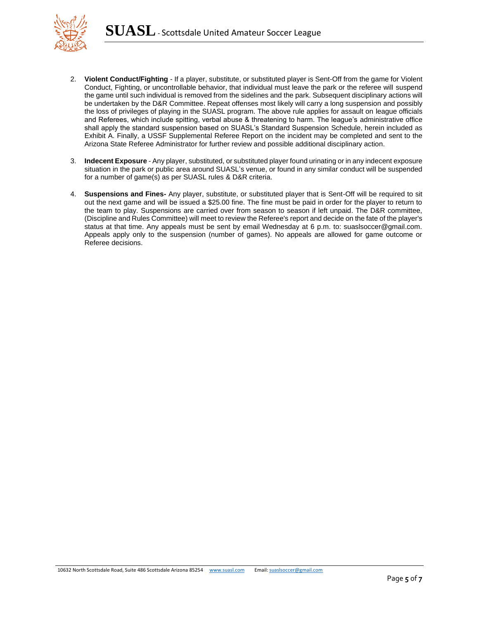

- 2. **Violent Conduct/Fighting** If a player, substitute, or substituted player is Sent-Off from the game for Violent Conduct, Fighting, or uncontrollable behavior, that individual must leave the park or the referee will suspend the game until such individual is removed from the sidelines and the park. Subsequent disciplinary actions will be undertaken by the D&R Committee. Repeat offenses most likely will carry a long suspension and possibly the loss of privileges of playing in the SUASL program. The above rule applies for assault on league officials and Referees, which include spitting, verbal abuse & threatening to harm. The league's administrative office shall apply the standard suspension based on SUASL's Standard Suspension Schedule, herein included as Exhibit A. Finally, a USSF Supplemental Referee Report on the incident may be completed and sent to the Arizona State Referee Administrator for further review and possible additional disciplinary action.
- 3. **Indecent Exposure**  Any player, substituted, or substituted player found urinating or in any indecent exposure situation in the park or public area around SUASL's venue, or found in any similar conduct will be suspended for a number of game(s) as per SUASL rules & D&R criteria.
- 4. **Suspensions and Fines-** Any player, substitute, or substituted player that is Sent-Off will be required to sit out the next game and will be issued a \$25.00 fine. The fine must be paid in order for the player to return to the team to play. Suspensions are carried over from season to season if left unpaid. The D&R committee, (Discipline and Rules Committee) will meet to review the Referee's report and decide on the fate of the player's status at that time. Any appeals must be sent by email Wednesday at 6 p.m. to: suaslsoccer@gmail.com. Appeals apply only to the suspension (number of games). No appeals are allowed for game outcome or Referee decisions.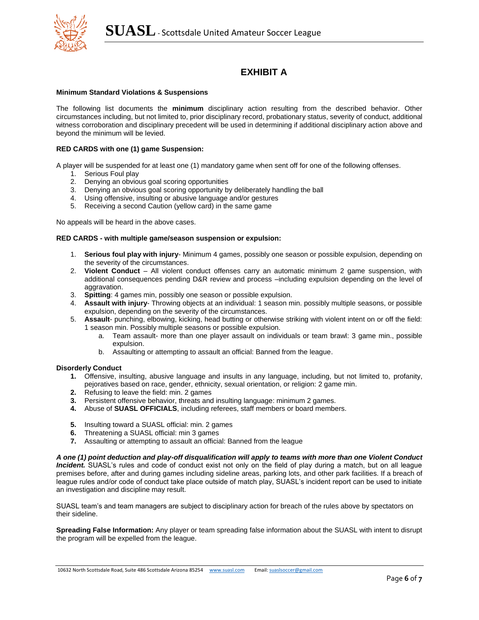

# **EXHIBIT A**

# **Minimum Standard Violations & Suspensions**

The following list documents the **minimum** disciplinary action resulting from the described behavior. Other circumstances including, but not limited to, prior disciplinary record, probationary status, severity of conduct, additional witness corroboration and disciplinary precedent will be used in determining if additional disciplinary action above and beyond the minimum will be levied.

# **RED CARDS with one (1) game Suspension:**

A player will be suspended for at least one (1) mandatory game when sent off for one of the following offenses.

- 1. Serious Foul play
- 2. Denying an obvious goal scoring opportunities
- 3. Denying an obvious goal scoring opportunity by deliberately handling the ball
- 4. Using offensive, insulting or abusive language and/or gestures
- 5. Receiving a second Caution (yellow card) in the same game

No appeals will be heard in the above cases.

### **RED CARDS - with multiple game/season suspension or expulsion:**

- 1. **Serious foul play with injury** Minimum 4 games, possibly one season or possible expulsion, depending on the severity of the circumstances.
- 2. **Violent Conduct**  All violent conduct offenses carry an automatic minimum 2 game suspension, with additional consequences pending D&R review and process –including expulsion depending on the level of aggravation.
- 3. **Spitting**: 4 games min, possibly one season or possible expulsion.
- 4. **Assault with injury** Throwing objects at an individual: 1 season min. possibly multiple seasons, or possible expulsion, depending on the severity of the circumstances.
- 5. **Assault** punching, elbowing, kicking, head butting or otherwise striking with violent intent on or off the field: 1 season min. Possibly multiple seasons or possible expulsion.
	- a. Team assault- more than one player assault on individuals or team brawl: 3 game min., possible expulsion.
	- b. Assaulting or attempting to assault an official: Banned from the league.

#### **Disorderly Conduct**

- **1.** Offensive, insulting, abusive language and insults in any language, including, but not limited to, profanity, pejoratives based on race, gender, ethnicity, sexual orientation, or religion: 2 game min.
- **2.** Refusing to leave the field: min. 2 games
- **3.** Persistent offensive behavior, threats and insulting language: minimum 2 games.
- **4.** Abuse of **SUASL OFFICIALS**, including referees, staff members or board members.
- **5.** Insulting toward a SUASL official: min. 2 games
- **6.** Threatening a SUASL official: min 3 games
- **7.** Assaulting or attempting to assault an official: Banned from the league

*A one (1) point deduction and play-off disqualification will apply to teams with more than one Violent Conduct Incident.* SUASL's rules and code of conduct exist not only on the field of play during a match, but on all league premises before, after and during games including sideline areas, parking lots, and other park facilities. If a breach of league rules and/or code of conduct take place outside of match play, SUASL's incident report can be used to initiate an investigation and discipline may result.

SUASL team's and team managers are subject to disciplinary action for breach of the rules above by spectators on their sideline.

**Spreading False Information:** Any player or team spreading false information about the SUASL with intent to disrupt the program will be expelled from the league.